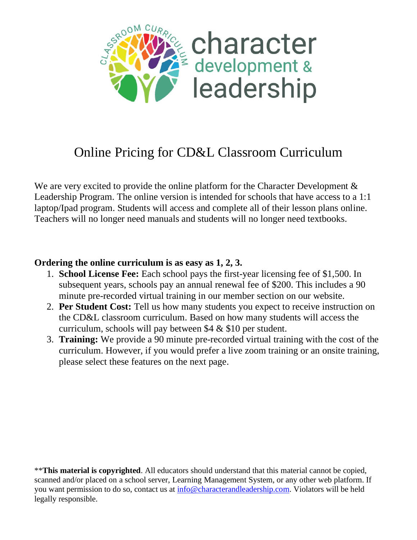

# Online Pricing for CD&L Classroom Curriculum

We are very excited to provide the online platform for the Character Development  $\&$ Leadership Program. The online version is intended for schools that have access to a 1:1 laptop/Ipad program. Students will access and complete all of their lesson plans online. Teachers will no longer need manuals and students will no longer need textbooks.

#### **Ordering the online curriculum is as easy as 1, 2, 3.**

- 1. **School License Fee:** Each school pays the first-year licensing fee of \$1,500. In subsequent years, schools pay an annual renewal fee of \$200. This includes a 90 minute pre-recorded virtual training in our member section on our website.
- 2. **Per Student Cost:** Tell us how many students you expect to receive instruction on the CD&L classroom curriculum. Based on how many students will access the curriculum, schools will pay between \$4 & \$10 per student.
- 3. **Training:** We provide a 90 minute pre-recorded virtual training with the cost of the curriculum. However, if you would prefer a live zoom training or an onsite training, please select these features on the next page.

\*\***This material is copyrighted**. All educators should understand that this material cannot be copied, scanned and/or placed on a school server, Learning Management System, or any other web platform. If you want permission to do so, contact us at [info@characterandleadership.com.](mailto:info@characterandleadership.com) Violators will be held legally responsible.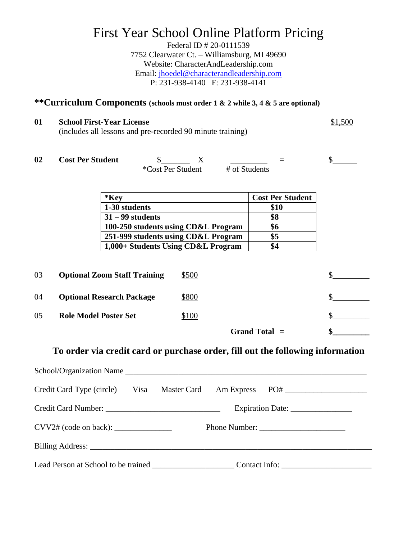### First Year School Online Platform Pricing

Federal ID # 20-0111539 7752 Clearwater Ct. – Williamsburg, MI 49690 Website: CharacterAndLeadership.com Email: [jhoedel@characterandleadership.com](mailto:jhoedel@characterandleadership.com) P: 231-938-4140 F: 231-938-4141

### **\*\*Curriculum Components (schools must order 1 & 2 while 3, 4 & 5 are optional)**

**01 School First-Year License** \$1,500 (includes all lessons and pre-recorded 90 minute training)

| 02 | <b>Cost Per Student</b> |                   |               | _ |  |
|----|-------------------------|-------------------|---------------|---|--|
|    |                         | *Cost Per Student | # of Students |   |  |

| $*Key$                              | <b>Cost Per Student</b> |
|-------------------------------------|-------------------------|
| 1-30 students                       | \$10                    |
| $31 - 99$ students                  | \$8                     |
| 100-250 students using CD&L Program | \$6                     |
| 251-999 students using CD&L Program | \$5                     |
| 1,000+ Students Using CD&L Program  | \$4                     |

| 03 | <b>Optional Zoom Staff Training</b> | \$500 |               |  |
|----|-------------------------------------|-------|---------------|--|
| 04 | <b>Optional Research Package</b>    | \$800 |               |  |
| 05 | <b>Role Model Poster Set</b>        | \$100 |               |  |
|    |                                     |       | Grand Total = |  |

#### **To order via credit card or purchase order, fill out the following information**

| Credit Card Type (circle) Visa Master Card Am Express PO# |                                     |
|-----------------------------------------------------------|-------------------------------------|
|                                                           | Expiration Date: __________________ |
|                                                           |                                     |
|                                                           |                                     |
|                                                           |                                     |